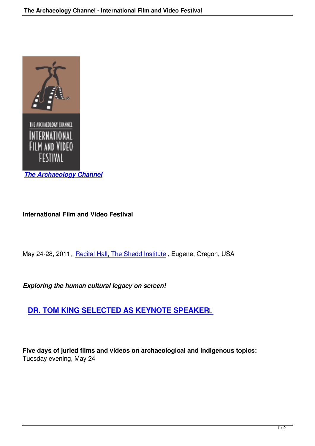

## **International Film and Video Festival**

May 24-28, 2011, Recital Hall, The Shedd Institute, Eugene, Oregon, USA

*Exploring the hu[man cultural legacy on screen!](http://www.ofam.org/)*

## **DR. TOM KING SELECTED AS KEYNOTE SPEAKER**

**Five days of juried films and videos on archaeological and indigenous topics:** Tuesday evening, May 24